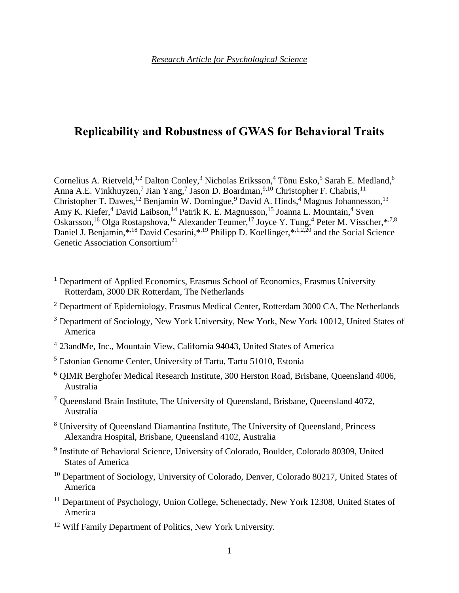# **Replicability and Robustness of GWAS for Behavioral Traits**

Cornelius A. Rietveld,<sup>[1](#page-0-0)[,2](#page-0-1)</sup> Dalton Conley,<sup>[3](#page-0-2)</sup> Nicholas Eriksson,<sup>[4](#page-0-3)</sup> Tõnu Esko,<sup>[5](#page-0-4)</sup> Sarah E. Medland,<sup>[6](#page-0-5)</sup> Anna A.E. Vinkhuyzen,<sup>[7](#page-0-6)</sup> Jian Yang,<sup>7</sup> Jason D. Boardman,<sup>[9,](#page-0-7)[10](#page-0-8)</sup> Christopher F. Chabris,<sup>[11](#page-0-9)</sup> Christopher T. Dawes,<sup>[12](#page-0-10)</sup> Benjamin W. Domingue,<sup>[9](#page-0-7)</sup> David A. Hinds,<sup>[4](#page-0-3)</sup> Magnus Johannesson,<sup>[13](#page-1-0)</sup> Amy K. Kiefer,<sup>[4](#page-0-3)</sup> David Laibson,<sup>[14](#page-1-1)</sup> Patrik K. E. Magnusson,<sup>[15](#page-1-2)</sup> Joanna L. Mountain,<sup>4</sup> Sven Oskarsson,<sup>[16](#page-1-3)</sup> Olga Rostapshova,<sup>14</sup> Alexander Teumer,<sup>[17](#page-1-4)</sup> Joyce Y. Tung,<sup>[4](#page-0-3)</sup> Peter M. Visscher,\*<sup>7,[8](#page-0-11)</sup> Daniel J. Benjamin,\*<sup>18</sup> David Cesarini,\*<sup>19</sup> Philipp D. Koellinger,\*<sup>1,[2,](#page-0-1)[20](#page-1-7)</sup> and the Social Science Genetic Association Consortium<sup>[21](#page-1-8)</sup>

- <span id="page-0-0"></span><sup>1</sup> Department of Applied Economics, Erasmus School of Economics, Erasmus University Rotterdam, 3000 DR Rotterdam, The Netherlands
- <span id="page-0-1"></span> $2$  Department of Epidemiology, Erasmus Medical Center, Rotterdam 3000 CA, The Netherlands
- <span id="page-0-2"></span><sup>3</sup> Department of Sociology, New York University, New York, New York 10012, United States of America
- <span id="page-0-3"></span>4 23andMe, Inc., Mountain View, California 94043, United States of America
- <span id="page-0-4"></span><sup>5</sup> Estonian Genome Center, University of Tartu, Tartu 51010, Estonia
- <span id="page-0-5"></span><sup>6</sup> QIMR Berghofer Medical Research Institute, 300 Herston Road, Brisbane, Queensland 4006, Australia
- <span id="page-0-6"></span> $<sup>7</sup>$  Queensland Brain Institute, The University of Queensland, Brisbane, Queensland 4072,</sup> Australia
- <span id="page-0-11"></span><sup>8</sup> University of Queensland Diamantina Institute, The University of Queensland, Princess Alexandra Hospital, Brisbane, Queensland 4102, Australia
- <span id="page-0-7"></span><sup>9</sup> Institute of Behavioral Science, University of Colorado, Boulder, Colorado 80309, United States of America
- <span id="page-0-8"></span><sup>10</sup> Department of Sociology, University of Colorado, Denver, Colorado 80217, United States of America
- <span id="page-0-9"></span><sup>11</sup> Department of Psychology, Union College, Schenectady, New York 12308, United States of America
- <span id="page-0-10"></span><sup>12</sup> Wilf Family Department of Politics, New York University.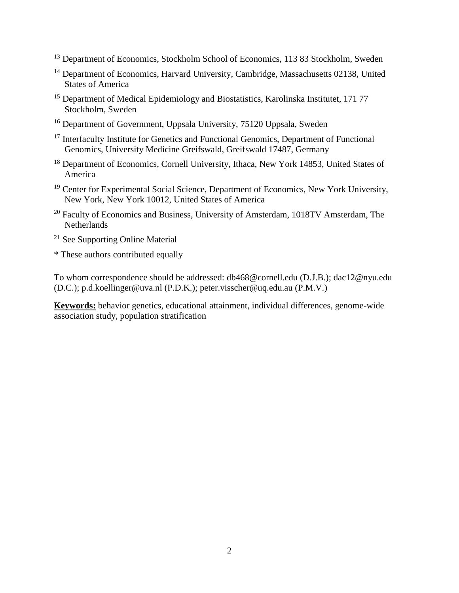- <span id="page-1-0"></span><sup>13</sup> Department of Economics, Stockholm School of Economics, 113 83 Stockholm, Sweden
- <span id="page-1-1"></span><sup>14</sup> Department of Economics, Harvard University, Cambridge, Massachusetts 02138, United States of America
- <span id="page-1-2"></span><sup>15</sup> Department of Medical Epidemiology and Biostatistics, Karolinska Institutet, 171 77 Stockholm, Sweden
- <span id="page-1-3"></span><sup>16</sup> Department of Government, Uppsala University, 75120 Uppsala, Sweden
- <span id="page-1-4"></span><sup>17</sup> Interfaculty Institute for Genetics and Functional Genomics, Department of Functional Genomics, University Medicine Greifswald, Greifswald 17487, Germany
- <span id="page-1-5"></span><sup>18</sup> Department of Economics, Cornell University, Ithaca, New York 14853, United States of America
- <span id="page-1-6"></span><sup>19</sup> Center for Experimental Social Science, Department of Economics, New York University, New York, New York 10012, United States of America
- <span id="page-1-7"></span><sup>20</sup> Faculty of Economics and Business, University of Amsterdam, 1018TV Amsterdam, The Netherlands
- <span id="page-1-8"></span><sup>21</sup> See Supporting Online Material
- \* These authors contributed equally

To whom correspondence should be addressed: db468@cornell.edu (D.J.B.); dac12@nyu.edu (D.C.); p.d.koellinger@uva.nl (P.D.K.); peter.visscher@uq.edu.au (P.M.V.)

**Keywords:** behavior genetics, educational attainment, individual differences, genome-wide association study, population stratification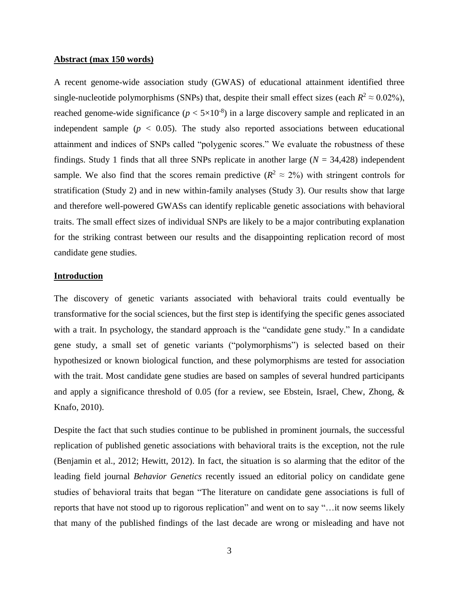## **Abstract (max 150 words)**

A recent genome-wide association study (GWAS) of educational attainment identified three single-nucleotide polymorphisms (SNPs) that, despite their small effect sizes (each  $R^2 \approx 0.02\%$ ), reached genome-wide significance  $(p < 5 \times 10^{-8})$  in a large discovery sample and replicated in an independent sample ( $p < 0.05$ ). The study also reported associations between educational attainment and indices of SNPs called "polygenic scores." We evaluate the robustness of these findings. Study 1 finds that all three SNPs replicate in another large  $(N = 34,428)$  independent sample. We also find that the scores remain predictive ( $R^2 \approx 2\%$ ) with stringent controls for stratification (Study 2) and in new within-family analyses (Study 3). Our results show that large and therefore well-powered GWASs can identify replicable genetic associations with behavioral traits. The small effect sizes of individual SNPs are likely to be a major contributing explanation for the striking contrast between our results and the disappointing replication record of most candidate gene studies.

## **Introduction**

The discovery of genetic variants associated with behavioral traits could eventually be transformative for the social sciences, but the first step is identifying the specific genes associated with a trait. In psychology, the standard approach is the "candidate gene study." In a candidate gene study, a small set of genetic variants ("polymorphisms") is selected based on their hypothesized or known biological function, and these polymorphisms are tested for association with the trait. Most candidate gene studies are based on samples of several hundred participants and apply a significance threshold of 0.05 (for a review, see Ebstein, Israel, Chew, Zhong, & Knafo, 2010).

Despite the fact that such studies continue to be published in prominent journals, the successful replication of published genetic associations with behavioral traits is the exception, not the rule (Benjamin et al., 2012; Hewitt, 2012). In fact, the situation is so alarming that the editor of the leading field journal *Behavior Genetics* recently issued an editorial policy on candidate gene studies of behavioral traits that began "The literature on candidate gene associations is full of reports that have not stood up to rigorous replication" and went on to say "…it now seems likely that many of the published findings of the last decade are wrong or misleading and have not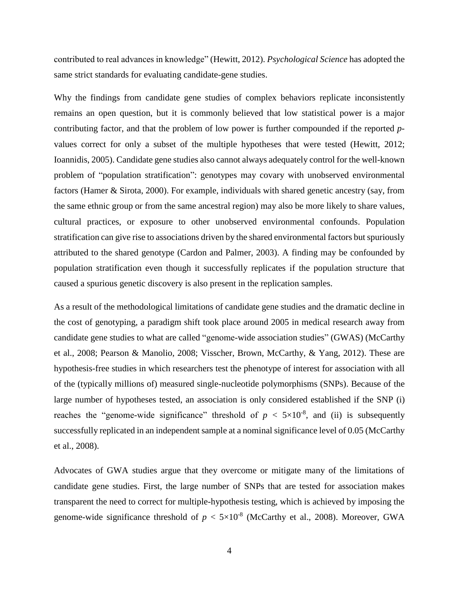contributed to real advances in knowledge" (Hewitt, 2012). *Psychological Science* has adopted the same strict standards for evaluating candidate-gene studies.

Why the findings from candidate gene studies of complex behaviors replicate inconsistently remains an open question, but it is commonly believed that low statistical power is a major contributing factor, and that the problem of low power is further compounded if the reported *p*values correct for only a subset of the multiple hypotheses that were tested (Hewitt, 2012; Ioannidis, 2005). Candidate gene studies also cannot always adequately control for the well-known problem of "population stratification": genotypes may covary with unobserved environmental factors (Hamer & Sirota, 2000). For example, individuals with shared genetic ancestry (say, from the same ethnic group or from the same ancestral region) may also be more likely to share values, cultural practices, or exposure to other unobserved environmental confounds. Population stratification can give rise to associations driven by the shared environmental factors but spuriously attributed to the shared genotype (Cardon and Palmer, 2003). A finding may be confounded by population stratification even though it successfully replicates if the population structure that caused a spurious genetic discovery is also present in the replication samples.

As a result of the methodological limitations of candidate gene studies and the dramatic decline in the cost of genotyping, a paradigm shift took place around 2005 in medical research away from candidate gene studies to what are called "genome-wide association studies" (GWAS) (McCarthy et al., 2008; Pearson & Manolio, 2008; Visscher, Brown, McCarthy, & Yang, 2012). These are hypothesis-free studies in which researchers test the phenotype of interest for association with all of the (typically millions of) measured single-nucleotide polymorphisms (SNPs). Because of the large number of hypotheses tested, an association is only considered established if the SNP (i) reaches the "genome-wide significance" threshold of  $p < 5 \times 10^{-8}$ , and (ii) is subsequently successfully replicated in an independent sample at a nominal significance level of 0.05 (McCarthy et al., 2008).

Advocates of GWA studies argue that they overcome or mitigate many of the limitations of candidate gene studies. First, the large number of SNPs that are tested for association makes transparent the need to correct for multiple-hypothesis testing, which is achieved by imposing the genome-wide significance threshold of  $p < 5 \times 10^{-8}$  (McCarthy et al., 2008). Moreover, GWA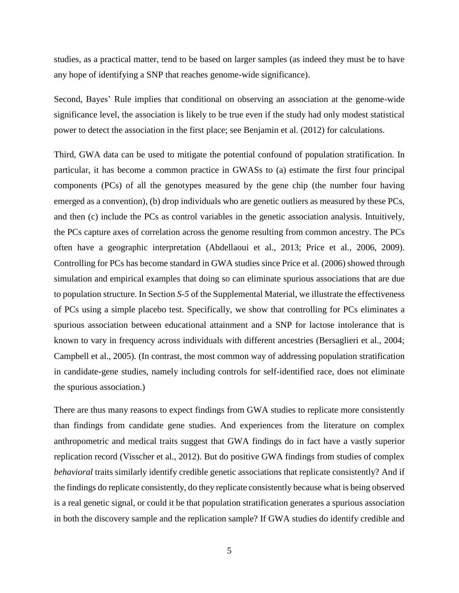studies, as a practical matter, tend to be based on larger samples (as indeed they must be to have any hope of identifying a SNP that reaches genome-wide significance).

Second, Bayes' Rule implies that conditional on observing an association at the genome-wide significance level, the association is likely to be true even if the study had only modest statistical power to detect the association in the first place; see Benjamin et al. (2012) for calculations.

Third, GWA data can be used to mitigate the potential confound of population stratification. In particular, it has become a common practice in GWASs to (a) estimate the first four principal components (PCs) of all the genotypes measured by the gene chip (the number four having emerged as a convention), (b) drop individuals who are genetic outliers as measured by these PCs, and then (c) include the PCs as control variables in the genetic association analysis. Intuitively, the PCs capture axes of correlation across the genome resulting from common ancestry. The PCs often have a geographic interpretation (Abdellaoui et al., 2013; Price et al., 2006, 2009). Controlling for PCs has become standard in GWA studies since Price et al. (2006) showed through simulation and empirical examples that doing so can eliminate spurious associations that are due to population structure. In Section *S-5* of the Supplemental Material, we illustrate the effectiveness of PCs using a simple placebo test. Specifically, we show that controlling for PCs eliminates a spurious association between educational attainment and a SNP for lactose intolerance that is known to vary in frequency across individuals with different ancestries (Bersaglieri et al., 2004; Campbell et al., 2005). (In contrast, the most common way of addressing population stratification in candidate-gene studies, namely including controls for self-identified race, does not eliminate the spurious association.)

There are thus many reasons to expect findings from GWA studies to replicate more consistently than findings from candidate gene studies. And experiences from the literature on complex anthropometric and medical traits suggest that GWA findings do in fact have a vastly superior replication record (Visscher et al., 2012). But do positive GWA findings from studies of complex *behavioral* traits similarly identify credible genetic associations that replicate consistently? And if the findings do replicate consistently, do they replicate consistently because what is being observed is a real genetic signal, or could it be that population stratification generates a spurious association in both the discovery sample and the replication sample? If GWA studies do identify credible and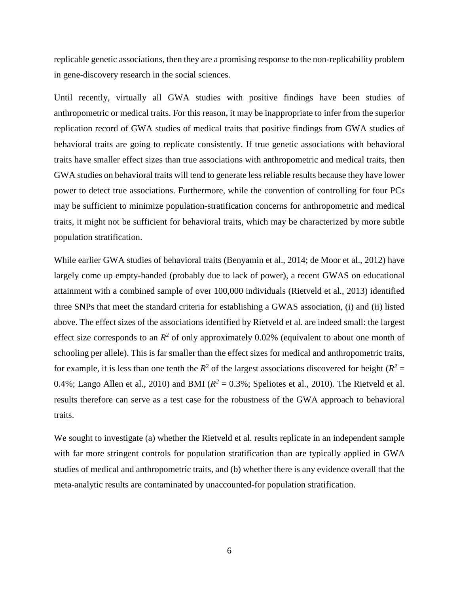replicable genetic associations, then they are a promising response to the non-replicability problem in gene-discovery research in the social sciences.

Until recently, virtually all GWA studies with positive findings have been studies of anthropometric or medical traits. For this reason, it may be inappropriate to infer from the superior replication record of GWA studies of medical traits that positive findings from GWA studies of behavioral traits are going to replicate consistently. If true genetic associations with behavioral traits have smaller effect sizes than true associations with anthropometric and medical traits, then GWA studies on behavioral traits will tend to generate less reliable results because they have lower power to detect true associations. Furthermore, while the convention of controlling for four PCs may be sufficient to minimize population-stratification concerns for anthropometric and medical traits, it might not be sufficient for behavioral traits, which may be characterized by more subtle population stratification.

While earlier GWA studies of behavioral traits (Benyamin et al., 2014; de Moor et al., 2012) have largely come up empty-handed (probably due to lack of power), a recent GWAS on educational attainment with a combined sample of over 100,000 individuals (Rietveld et al., 2013) identified three SNPs that meet the standard criteria for establishing a GWAS association, (i) and (ii) listed above. The effect sizes of the associations identified by Rietveld et al. are indeed small: the largest effect size corresponds to an  $R^2$  of only approximately 0.02% (equivalent to about one month of schooling per allele). This is far smaller than the effect sizes for medical and anthropometric traits, for example, it is less than one tenth the  $R^2$  of the largest associations discovered for height ( $R^2 =$ 0.4%; Lango Allen et al., 2010) and BMI ( $R^2 = 0.3$ %; Speliotes et al., 2010). The Rietveld et al. results therefore can serve as a test case for the robustness of the GWA approach to behavioral traits.

We sought to investigate (a) whether the Rietveld et al. results replicate in an independent sample with far more stringent controls for population stratification than are typically applied in GWA studies of medical and anthropometric traits, and (b) whether there is any evidence overall that the meta-analytic results are contaminated by unaccounted-for population stratification.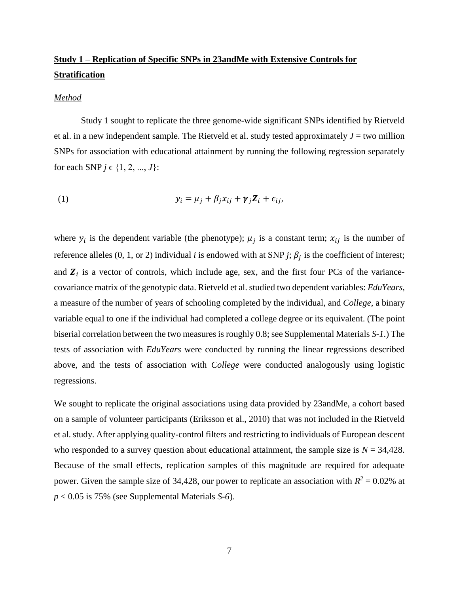# **Study 1 – Replication of Specific SNPs in 23andMe with Extensive Controls for Stratification**

#### *Method*

Study 1 sought to replicate the three genome-wide significant SNPs identified by Rietveld et al. in a new independent sample. The Rietveld et al. study tested approximately  $J =$  two million SNPs for association with educational attainment by running the following regression separately for each SNP  $j \in \{1, 2, ..., J\}$ :

(1) 
$$
y_i = \mu_j + \beta_j x_{ij} + \gamma_j Z_i + \epsilon_{ij},
$$

where  $y_i$  is the dependent variable (the phenotype);  $\mu_j$  is a constant term;  $x_{ij}$  is the number of reference alleles  $(0, 1, \text{or } 2)$  individual *i* is endowed with at SNP *j*;  $\beta_j$  is the coefficient of interest; and  $\mathbf{Z}_i$  is a vector of controls, which include age, sex, and the first four PCs of the variancecovariance matrix of the genotypic data. Rietveld et al. studied two dependent variables: *EduYears*, a measure of the number of years of schooling completed by the individual, and *College*, a binary variable equal to one if the individual had completed a college degree or its equivalent. (The point biserial correlation between the two measures is roughly 0.8; see Supplemental Materials *S-1*.) The tests of association with *EduYears* were conducted by running the linear regressions described above, and the tests of association with *College* were conducted analogously using logistic regressions.

We sought to replicate the original associations using data provided by 23andMe, a cohort based on a sample of volunteer participants (Eriksson et al., 2010) that was not included in the Rietveld et al. study. After applying quality-control filters and restricting to individuals of European descent who responded to a survey question about educational attainment, the sample size is  $N = 34,428$ . Because of the small effects, replication samples of this magnitude are required for adequate power. Given the sample size of 34,428, our power to replicate an association with  $R^2 = 0.02\%$  at *p* < 0.05 is 75% (see Supplemental Materials *S-6*).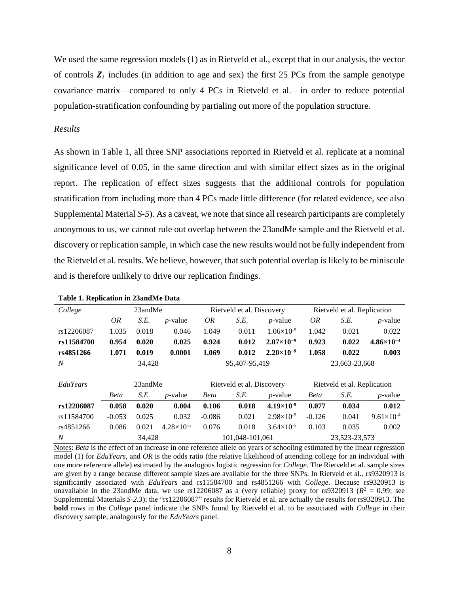We used the same regression models (1) as in Rietveld et al., except that in our analysis, the vector of controls  $\mathbf{Z}_i$  includes (in addition to age and sex) the first 25 PCs from the sample genotype covariance matrix—compared to only 4 PCs in Rietveld et al.—in order to reduce potential population-stratification confounding by partialing out more of the population structure.

## *Results*

As shown in Table 1, all three SNP associations reported in Rietveld et al. replicate at a nominal significance level of 0.05, in the same direction and with similar effect sizes as in the original report. The replication of effect sizes suggests that the additional controls for population stratification from including more than 4 PCs made little difference (for related evidence, see also Supplemental Material *S-5*). As a caveat, we note that since all research participants are completely anonymous to us, we cannot rule out overlap between the 23andMe sample and the Rietveld et al. discovery or replication sample, in which case the new results would not be fully independent from the Rietveld et al. results. We believe, however, that such potential overlap is likely to be miniscule and is therefore unlikely to drive our replication findings.

| College          | 23andMe     |       |                     |                           | Rietveld et al. Discovery |                       | Rietveld et al. Replication |       |                     |
|------------------|-------------|-------|---------------------|---------------------------|---------------------------|-----------------------|-----------------------------|-------|---------------------|
|                  | OR          | S.E.  | $p$ -value          | OR                        | S.E.                      | $p$ -value            | OR                          | S.E.  | $p$ -value          |
| rs12206087       | 1.035       | 0.018 | 0.046               | 1.049                     | 0.011                     | $1.06 \times 10^{-5}$ | 1.042                       | 0.021 | 0.022               |
| rs11584700       | 0.954       | 0.020 | 0.025               | 0.924                     | 0.012                     | $2.07\times10^{-9}$   | 0.923                       | 0.022 | $4.86\times10^{-4}$ |
| rs4851266        | 1.071       | 0.019 | 0.0001              | 1.069                     | 0.012                     | $2.20\times10^{-9}$   | 1.058                       | 0.022 | 0.003               |
| $\boldsymbol{N}$ | 34,428      |       |                     | 95,407-95,419             |                           |                       | 23,663-23,668               |       |                     |
|                  |             |       |                     |                           |                           |                       |                             |       |                     |
| EduYears         | 23andMe     |       |                     | Rietveld et al. Discovery |                           |                       | Rietveld et al. Replication |       |                     |
|                  | <b>Beta</b> | S.E.  | $p$ -value          | <b>Beta</b>               | S.E.                      | $p$ -value            | <b>Beta</b>                 | S.E.  | $p$ -value          |
| rs12206087       | 0.058       | 0.020 | 0.004               | 0.106                     | 0.018                     | $4.19\times10^{-9}$   | 0.077                       | 0.034 | 0.012               |
| rs11584700       | $-0.053$    | 0.025 | 0.032               | $-0.086$                  | 0.021                     | $2.98 \times 10^{-5}$ | $-0.126$                    | 0.041 | $9.61\times10^{-4}$ |
| rs4851266        | 0.086       | 0.021 | $4.28\times10^{-5}$ | 0.076                     | 0.018                     | $3.64\times10^{-5}$   | 0.103                       | 0.035 | 0.002               |
| $\boldsymbol{N}$ | 34.428      |       |                     | 101.048-101.061           |                           |                       | 23,523-23,573               |       |                     |

|  |  |  |  |  | Table 1. Replication in 23andMe Data |  |
|--|--|--|--|--|--------------------------------------|--|
|--|--|--|--|--|--------------------------------------|--|

Notes: *Beta* is the effect of an increase in one reference allele on years of schooling estimated by the linear regression model (1) for *EduYears*, and *OR* is the odds ratio (the relative likelihood of attending college for an individual with one more reference allele) estimated by the analogous logistic regression for *College*. The Rietveld et al. sample sizes are given by a range because different sample sizes are available for the three SNPs. In Rietveld et al., rs9320913 is significantly associated with *EduYears* and rs11584700 and rs4851266 with *College*. Because rs9320913 is unavailable in the 23andMe data, we use  $rs12206087$  as a (very reliable) proxy for  $rs9320913$  ( $R^2 = 0.99$ ; see Supplemental Materials *S*-*2.3*); the "rs12206087" results for Rietveld et al. are actually the results for rs9320913. The **bold** rows in the *College* panel indicate the SNPs found by Rietveld et al. to be associated with *College* in their discovery sample; analogously for the *EduYears* panel.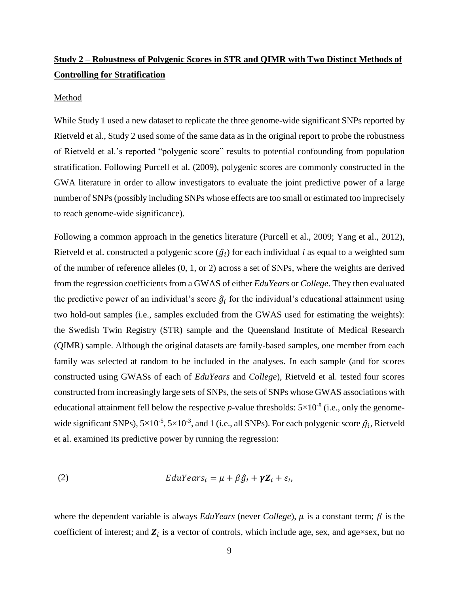# **Study 2 – Robustness of Polygenic Scores in STR and QIMR with Two Distinct Methods of Controlling for Stratification**

### Method

While Study 1 used a new dataset to replicate the three genome-wide significant SNPs reported by Rietveld et al., Study 2 used some of the same data as in the original report to probe the robustness of Rietveld et al.'s reported "polygenic score" results to potential confounding from population stratification. Following Purcell et al. (2009), polygenic scores are commonly constructed in the GWA literature in order to allow investigators to evaluate the joint predictive power of a large number of SNPs (possibly including SNPs whose effects are too small or estimated too imprecisely to reach genome-wide significance).

Following a common approach in the genetics literature (Purcell et al., 2009; Yang et al., 2012), Rietveld et al. constructed a polygenic score  $(\hat{g}_i)$  for each individual *i* as equal to a weighted sum of the number of reference alleles (0, 1, or 2) across a set of SNPs, where the weights are derived from the regression coefficients from a GWAS of either *EduYears* or *College*. They then evaluated the predictive power of an individual's score  $\hat{g}_i$  for the individual's educational attainment using two hold-out samples (i.e., samples excluded from the GWAS used for estimating the weights): the Swedish Twin Registry (STR) sample and the Queensland Institute of Medical Research (QIMR) sample. Although the original datasets are family-based samples, one member from each family was selected at random to be included in the analyses. In each sample (and for scores constructed using GWASs of each of *EduYears* and *College*), Rietveld et al. tested four scores constructed from increasingly large sets of SNPs, the sets of SNPs whose GWAS associations with educational attainment fell below the respective *p*-value thresholds:  $5\times10^{-8}$  (i.e., only the genomewide significant SNPs),  $5\times10^{-5}$ ,  $5\times10^{-3}$ , and 1 (i.e., all SNPs). For each polygenic score  $\hat{g}_i$ , Rietveld et al. examined its predictive power by running the regression:

(2) 
$$
EduYears_i = \mu + \beta \hat{g}_i + \gamma Z_i + \varepsilon_i,
$$

where the dependent variable is always *EduYears* (never *College*),  $\mu$  is a constant term;  $\beta$  is the coefficient of interest; and  $\mathbf{Z}_i$  is a vector of controls, which include age, sex, and age×sex, but no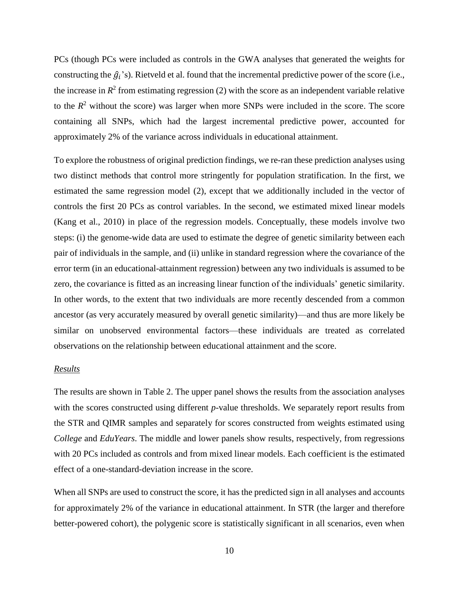PCs (though PCs were included as controls in the GWA analyses that generated the weights for constructing the  $\hat{g}_i$ 's). Rietveld et al. found that the incremental predictive power of the score (i.e., the increase in  $R^2$  from estimating regression (2) with the score as an independent variable relative to the  $R<sup>2</sup>$  without the score) was larger when more SNPs were included in the score. The score containing all SNPs, which had the largest incremental predictive power, accounted for approximately 2% of the variance across individuals in educational attainment.

To explore the robustness of original prediction findings, we re-ran these prediction analyses using two distinct methods that control more stringently for population stratification. In the first, we estimated the same regression model (2), except that we additionally included in the vector of controls the first 20 PCs as control variables. In the second, we estimated mixed linear models (Kang et al., 2010) in place of the regression models. Conceptually, these models involve two steps: (i) the genome-wide data are used to estimate the degree of genetic similarity between each pair of individuals in the sample, and (ii) unlike in standard regression where the covariance of the error term (in an educational-attainment regression) between any two individuals is assumed to be zero, the covariance is fitted as an increasing linear function of the individuals' genetic similarity. In other words, to the extent that two individuals are more recently descended from a common ancestor (as very accurately measured by overall genetic similarity)—and thus are more likely be similar on unobserved environmental factors—these individuals are treated as correlated observations on the relationship between educational attainment and the score.

## *Results*

The results are shown in Table 2. The upper panel shows the results from the association analyses with the scores constructed using different *p*-value thresholds. We separately report results from the STR and QIMR samples and separately for scores constructed from weights estimated using *College* and *EduYears*. The middle and lower panels show results, respectively, from regressions with 20 PCs included as controls and from mixed linear models. Each coefficient is the estimated effect of a one-standard-deviation increase in the score.

When all SNPs are used to construct the score, it has the predicted sign in all analyses and accounts for approximately 2% of the variance in educational attainment. In STR (the larger and therefore better-powered cohort), the polygenic score is statistically significant in all scenarios, even when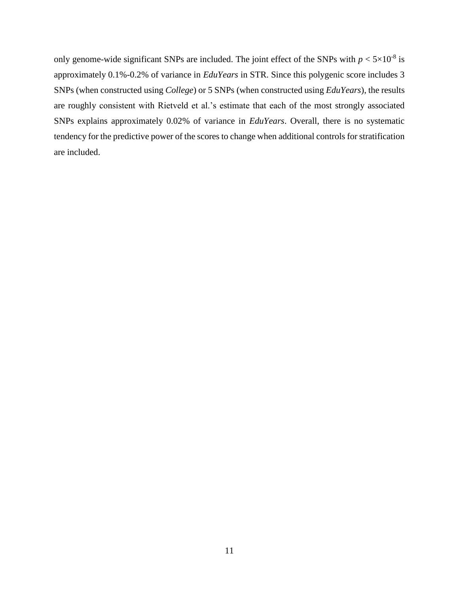only genome-wide significant SNPs are included. The joint effect of the SNPs with  $p < 5 \times 10^{-8}$  is approximately 0.1%-0.2% of variance in *EduYears* in STR. Since this polygenic score includes 3 SNPs (when constructed using *College*) or 5 SNPs (when constructed using *EduYears*), the results are roughly consistent with Rietveld et al.'s estimate that each of the most strongly associated SNPs explains approximately 0.02% of variance in *EduYears*. Overall, there is no systematic tendency for the predictive power of the scores to change when additional controls for stratification are included.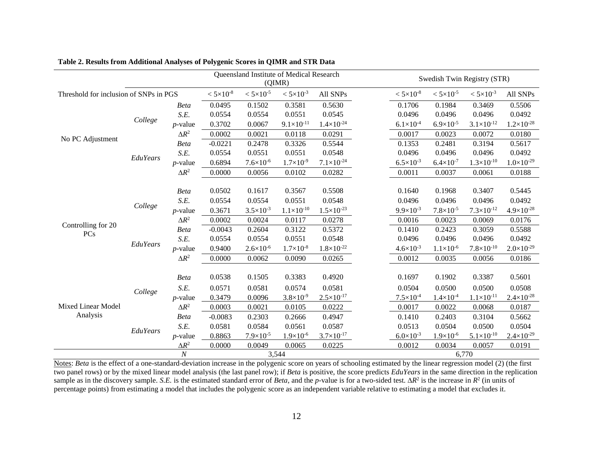|                                        | Queensland Institute of Medical Research<br>(QIMR) |                           |                      |                      |                       | Swedish Twin Registry (STR) |                      |                      |                       |                       |
|----------------------------------------|----------------------------------------------------|---------------------------|----------------------|----------------------|-----------------------|-----------------------------|----------------------|----------------------|-----------------------|-----------------------|
| Threshold for inclusion of SNPs in PGS |                                                    |                           | $< 5 \times 10^{-8}$ | $< 5 \times 10^{-5}$ | $< 5 \times 10^{-3}$  | All SNPs                    | $< 5 \times 10^{-8}$ | $< 5 \times 10^{-5}$ | $< 5 \times 10^{-3}$  | All SNPs              |
| No PC Adjustment                       | College                                            | <b>Beta</b>               | 0.0495               | 0.1502               | 0.3581                | 0.5630                      | 0.1706               | 0.1984               | 0.3469                | 0.5506                |
|                                        |                                                    | S.E.                      | 0.0554               | 0.0554               | 0.0551                | 0.0545                      | 0.0496               | 0.0496               | 0.0496                | 0.0492                |
|                                        |                                                    | $p$ -value                | 0.3702               | 0.0067               | $9.1 \times 10^{-11}$ | $1.4 \times 10^{-24}$       | $6.1 \times 10^{-4}$ | $6.9 \times 10^{-5}$ | $3.1 \times 10^{-12}$ | $1.2\times10^{-28}$   |
|                                        |                                                    | $\Delta R^2$              | 0.0002               | 0.0021               | 0.0118                | 0.0291                      | 0.0017               | 0.0023               | 0.0072                | 0.0180                |
|                                        |                                                    | <b>Beta</b>               | $-0.0221$            | 0.2478               | 0.3326                | 0.5544                      | 0.1353               | 0.2481               | 0.3194                | 0.5617                |
|                                        | EduYears                                           | S.E.                      | 0.0554               | 0.0551               | 0.0551                | 0.0548                      | 0.0496               | 0.0496               | 0.0496                | 0.0492                |
|                                        |                                                    | $p$ -value                | 0.6894               | $7.6 \times 10^{-6}$ | $1.7\times10^{-9}$    | $7.1 \times 10^{-24}$       | $6.5 \times 10^{-3}$ | $6.4 \times 10^{-7}$ | $1.3\times10^{-10}$   | $1.0\times10^{-29}$   |
|                                        |                                                    | $\Delta R^2$              | 0.0000               | 0.0056               | 0.0102                | 0.0282                      | 0.0011               | 0.0037               | 0.0061                | 0.0188                |
|                                        |                                                    |                           |                      |                      |                       |                             |                      |                      |                       |                       |
|                                        | College                                            | <b>Beta</b>               | 0.0502               | 0.1617               | 0.3567                | 0.5508                      | 0.1640               | 0.1968               | 0.3407                | 0.5445                |
|                                        |                                                    | S.E.                      | 0.0554               | 0.0554               | 0.0551                | 0.0548                      | 0.0496               | 0.0496               | 0.0496                | 0.0492                |
|                                        |                                                    | $p$ -value                | 0.3671               | $3.5 \times 10^{-3}$ | $1.1 \times 10^{-10}$ | $1.5 \times 10^{-23}$       | $9.9 \times 10^{-3}$ | $7.8 \times 10^{-5}$ | $7.3 \times 10^{-12}$ | $4.9\times10^{-28}$   |
| Controlling for 20                     |                                                    | $\Delta R^2$              | 0.0002               | 0.0024               | 0.0117                | 0.0278                      | 0.0016               | 0.0023               | 0.0069                | 0.0176                |
| <b>PCs</b>                             | EduYears                                           | <b>Beta</b>               | $-0.0043$            | 0.2604               | 0.3122                | 0.5372                      | 0.1410               | 0.2423               | 0.3059                | 0.5588                |
|                                        |                                                    | S.E.                      | 0.0554               | 0.0554               | 0.0551                | 0.0548                      | 0.0496               | 0.0496               | 0.0496                | 0.0492                |
|                                        |                                                    | $p$ -value                | 0.9400               | $2.6 \times 10^{-6}$ | $1.7\times10^{-8}$    | $1.8 \times 10^{-22}$       | $4.6 \times 10^{-3}$ | $1.1\times10^{-6}$   | $7.8\times10^{-10}$   | $2.0\times10^{-29}$   |
|                                        |                                                    | $\Delta R^2$              | 0.0000               | 0.0062               | 0.0090                | 0.0265                      | 0.0012               | 0.0035               | 0.0056                | 0.0186                |
|                                        |                                                    | <b>Beta</b>               | 0.0538               | 0.1505               | 0.3383                | 0.4920                      | 0.1697               | 0.1902               | 0.3387                | 0.5601                |
| Mixed Linear Model<br>Analysis         | College                                            | S.E.                      | 0.0571               | 0.0581               | 0.0574                | 0.0581                      | 0.0504               | 0.0500               | 0.0500                | 0.0508                |
|                                        |                                                    | $p$ -value                | 0.3479               | 0.0096               | $3.8 \times 10^{-9}$  | $2.5 \times 10^{-17}$       | $7.5 \times 10^{-4}$ | $1.4 \times 10^{-4}$ | $1.1 \times 10^{-11}$ | $2.4 \times 10^{-28}$ |
|                                        |                                                    | $\Delta R^2$              | 0.0003               | 0.0021               | 0.0105                | 0.0222                      | 0.0017               | 0.0022               | 0.0068                | 0.0187                |
|                                        | EduYears                                           | <b>Beta</b>               | $-0.0083$            | 0.2303               | 0.2666                | 0.4947                      | 0.1410               | 0.2403               | 0.3104                | 0.5662                |
|                                        |                                                    | S.E.                      | 0.0581               | 0.0584               | 0.0561                | 0.0587                      | 0.0513               | 0.0504               | 0.0500                | 0.0504                |
|                                        |                                                    | $p$ -value                | 0.8863               | $7.9 \times 10^{-5}$ | $1.9\times10^{-6}$    | $3.7 \times 10^{-17}$       | $6.0 \times 10^{-3}$ | $1.9\times10^{-6}$   | $5.1\times10^{-10}$   | $2.4 \times 10^{-29}$ |
|                                        |                                                    | $\Delta R^2$              | 0.0000               | 0.0049               | 0.0065                | 0.0225                      | 0.0012               | 0.0034               | 0.0057                | 0.0191                |
|                                        |                                                    | $\boldsymbol{N}$<br>3,544 |                      |                      |                       | 6,770                       |                      |                      |                       |                       |

**Table 2. Results from Additional Analyses of Polygenic Scores in QIMR and STR Data**

Notes: *Beta* is the effect of a one-standard-deviation increase in the polygenic score on years of schooling estimated by the linear regression model (2) (the first two panel rows) or by the mixed linear model analysis (the last panel row); if *Beta* is positive, the score predicts *EduYears* in the same direction in the replication sample as in the discovery sample. *S.E.* is the estimated standard error of *Beta*, and the *p*-value is for a two-sided test.  $\Delta R^2$  is the increase in  $R^2$  (in units of percentage points) from estimating a model that includes the polygenic score as an independent variable relative to estimating a model that excludes it.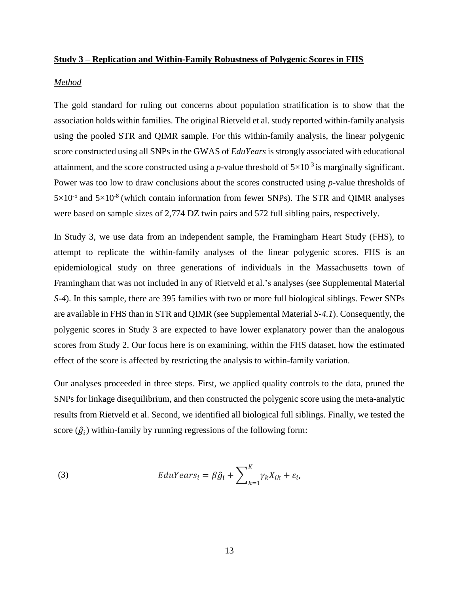## **Study 3 – Replication and Within-Family Robustness of Polygenic Scores in FHS**

#### *Method*

The gold standard for ruling out concerns about population stratification is to show that the association holds within families. The original Rietveld et al. study reported within-family analysis using the pooled STR and QIMR sample. For this within-family analysis, the linear polygenic score constructed using all SNPs in the GWAS of *EduYears* is strongly associated with educational attainment, and the score constructed using a *p*-value threshold of  $5\times10^{-3}$  is marginally significant. Power was too low to draw conclusions about the scores constructed using *p*-value thresholds of  $5\times10^{-5}$  and  $5\times10^{-8}$  (which contain information from fewer SNPs). The STR and QIMR analyses were based on sample sizes of 2,774 DZ twin pairs and 572 full sibling pairs, respectively.

In Study 3, we use data from an independent sample, the Framingham Heart Study (FHS), to attempt to replicate the within-family analyses of the linear polygenic scores. FHS is an epidemiological study on three generations of individuals in the Massachusetts town of Framingham that was not included in any of Rietveld et al.'s analyses (see Supplemental Material *S-4*). In this sample, there are 395 families with two or more full biological siblings. Fewer SNPs are available in FHS than in STR and QIMR (see Supplemental Material *S-4.1*). Consequently, the polygenic scores in Study 3 are expected to have lower explanatory power than the analogous scores from Study 2. Our focus here is on examining, within the FHS dataset, how the estimated effect of the score is affected by restricting the analysis to within-family variation.

Our analyses proceeded in three steps. First, we applied quality controls to the data, pruned the SNPs for linkage disequilibrium, and then constructed the polygenic score using the meta-analytic results from Rietveld et al. Second, we identified all biological full siblings. Finally, we tested the score  $(\hat{g}_i)$  within-family by running regressions of the following form:

(3) 
$$
EduYears_i = \beta \hat{g}_i + \sum_{k=1}^{K} \gamma_k X_{ik} + \varepsilon_i,
$$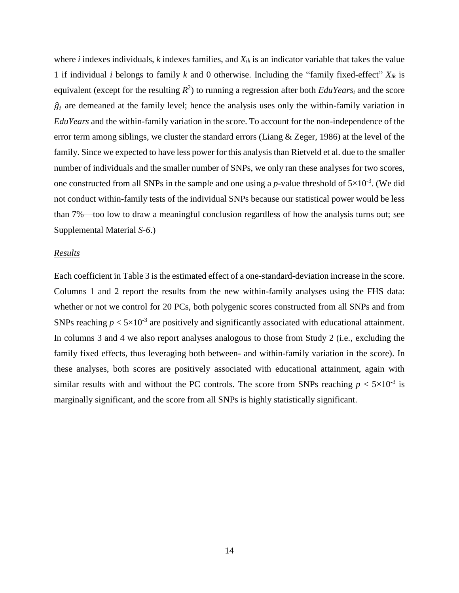where *i* indexes individuals, *k* indexes families, and *Xik* is an indicator variable that takes the value 1 if individual *i* belongs to family *k* and 0 otherwise. Including the "family fixed-effect" *Xik* is equivalent (except for the resulting *R* 2 ) to running a regression after both *EduYears<sup>i</sup>* and the score  $\hat{g}_i$  are demeaned at the family level; hence the analysis uses only the within-family variation in *EduYears* and the within-family variation in the score. To account for the non-independence of the error term among siblings, we cluster the standard errors (Liang & Zeger, 1986) at the level of the family. Since we expected to have less power for this analysis than Rietveld et al. due to the smaller number of individuals and the smaller number of SNPs, we only ran these analyses for two scores, one constructed from all SNPs in the sample and one using a *p*-value threshold of  $5\times10^{-3}$ . (We did not conduct within-family tests of the individual SNPs because our statistical power would be less than 7%—too low to draw a meaningful conclusion regardless of how the analysis turns out; see Supplemental Material *S-6*.)

#### *Results*

Each coefficient in Table 3 is the estimated effect of a one-standard-deviation increase in the score. Columns 1 and 2 report the results from the new within-family analyses using the FHS data: whether or not we control for 20 PCs, both polygenic scores constructed from all SNPs and from SNPs reaching  $p < 5 \times 10^{-3}$  are positively and significantly associated with educational attainment. In columns 3 and 4 we also report analyses analogous to those from Study 2 (i.e., excluding the family fixed effects, thus leveraging both between- and within-family variation in the score). In these analyses, both scores are positively associated with educational attainment, again with similar results with and without the PC controls. The score from SNPs reaching  $p < 5 \times 10^{-3}$  is marginally significant, and the score from all SNPs is highly statistically significant.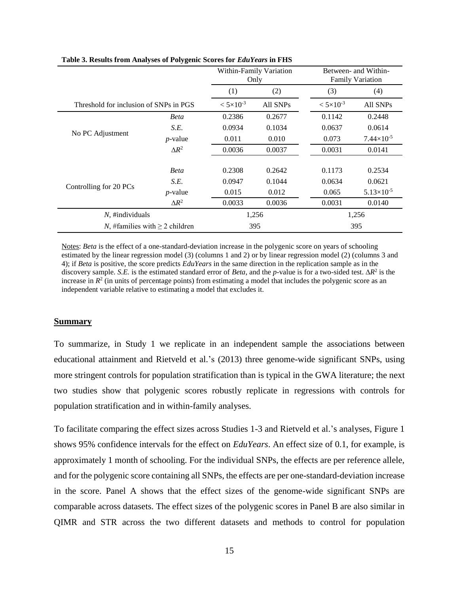|                                        |                      |          | Within-Family Variation<br>Only | Between- and Within-<br><b>Family Variation</b> |                       |  |
|----------------------------------------|----------------------|----------|---------------------------------|-------------------------------------------------|-----------------------|--|
|                                        |                      | (1)      | (2)                             | (3)                                             | (4)                   |  |
| Threshold for inclusion of SNPs in PGS | $< 5 \times 10^{-3}$ | All SNPs | $< 5 \times 10^{-3}$            | All SNPs                                        |                       |  |
|                                        | Beta                 | 0.2386   | 0.2677                          | 0.1142                                          | 0.2448                |  |
|                                        | S.E.                 | 0.0934   | 0.1034                          | 0.0637                                          | 0.0614                |  |
| No PC Adjustment                       | $p$ -value           | 0.011    | 0.010                           | 0.073                                           | $7.44 \times 10^{-5}$ |  |
|                                        | $\Delta R^2$         | 0.0036   | 0.0037                          | 0.0031                                          | 0.0141                |  |
|                                        |                      |          |                                 |                                                 |                       |  |
|                                        | <b>Beta</b>          | 0.2308   | 0.2642                          | 0.1173                                          | 0.2534                |  |
|                                        | S.E.                 | 0.0947   | 0.1044                          | 0.0634                                          | 0.0621                |  |
| Controlling for 20 PCs                 | $p$ -value           | 0.015    | 0.012                           | 0.065                                           | $5.13\times10^{-5}$   |  |
|                                        | $\Delta R^2$         | 0.0033   | 0.0036                          | 0.0031                                          | 0.0140                |  |
| $N$ , #individuals                     |                      | 1,256    | 1,256                           |                                                 |                       |  |
| N, #families with $\geq 2$ children    |                      | 395      | 395                             |                                                 |                       |  |

**Table 3. Results from Analyses of Polygenic Scores for** *EduYears* **in FHS**

Notes: *Beta* is the effect of a one-standard-deviation increase in the polygenic score on years of schooling estimated by the linear regression model (3) (columns 1 and 2) or by linear regression model (2) (columns 3 and 4); if *Beta* is positive, the score predicts *EduYears* in the same direction in the replication sample as in the discovery sample. *S.E.* is the estimated standard error of *Beta*, and the *p*-value is for a two-sided test.  $\Delta R^2$  is the increase in  $R<sup>2</sup>$  (in units of percentage points) from estimating a model that includes the polygenic score as an independent variable relative to estimating a model that excludes it.

### **Summary**

To summarize, in Study 1 we replicate in an independent sample the associations between educational attainment and Rietveld et al.'s (2013) three genome-wide significant SNPs, using more stringent controls for population stratification than is typical in the GWA literature; the next two studies show that polygenic scores robustly replicate in regressions with controls for population stratification and in within-family analyses.

To facilitate comparing the effect sizes across Studies 1-3 and Rietveld et al.'s analyses, Figure 1 shows 95% confidence intervals for the effect on *EduYears*. An effect size of 0.1, for example, is approximately 1 month of schooling. For the individual SNPs, the effects are per reference allele, and for the polygenic score containing all SNPs, the effects are per one-standard-deviation increase in the score. Panel A shows that the effect sizes of the genome-wide significant SNPs are comparable across datasets. The effect sizes of the polygenic scores in Panel B are also similar in QIMR and STR across the two different datasets and methods to control for population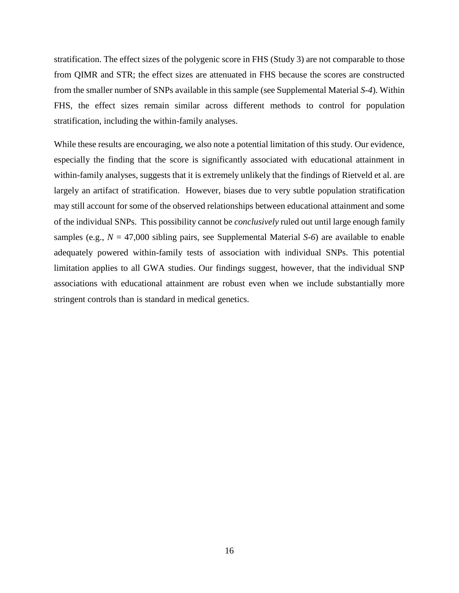stratification. The effect sizes of the polygenic score in FHS (Study 3) are not comparable to those from QIMR and STR; the effect sizes are attenuated in FHS because the scores are constructed from the smaller number of SNPs available in this sample (see Supplemental Material *S-4*). Within FHS, the effect sizes remain similar across different methods to control for population stratification, including the within-family analyses.

While these results are encouraging, we also note a potential limitation of this study. Our evidence, especially the finding that the score is significantly associated with educational attainment in within-family analyses, suggests that it is extremely unlikely that the findings of Rietveld et al. are largely an artifact of stratification. However, biases due to very subtle population stratification may still account for some of the observed relationships between educational attainment and some of the individual SNPs. This possibility cannot be *conclusively* ruled out until large enough family samples (e.g., *N* = 47,000 sibling pairs, see Supplemental Material *S-6*) are available to enable adequately powered within-family tests of association with individual SNPs. This potential limitation applies to all GWA studies. Our findings suggest, however, that the individual SNP associations with educational attainment are robust even when we include substantially more stringent controls than is standard in medical genetics.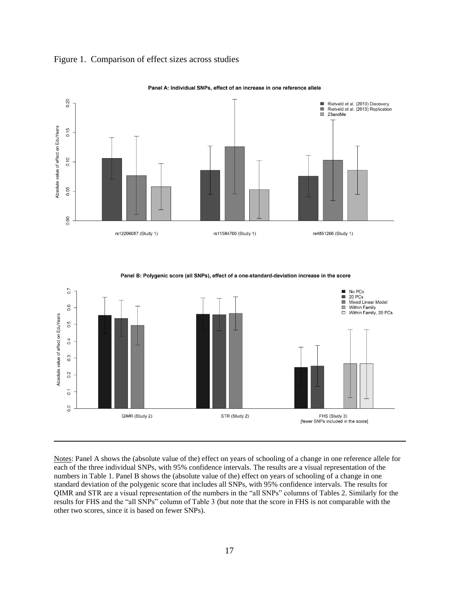

## Figure 1. Comparison of effect sizes across studies



Panel B: Polygenic score (all SNPs), effect of a one-standard-deviation increase in the score



Notes: Panel A shows the (absolute value of the) effect on years of schooling of a change in one reference allele for each of the three individual SNPs, with 95% confidence intervals. The results are a visual representation of the numbers in Table 1. Panel B shows the (absolute value of the) effect on years of schooling of a change in one standard deviation of the polygenic score that includes all SNPs, with 95% confidence intervals. The results for QIMR and STR are a visual representation of the numbers in the "all SNPs" columns of Tables 2. Similarly for the results for FHS and the "all SNPs" column of Table 3 (but note that the score in FHS is not comparable with the other two scores, since it is based on fewer SNPs).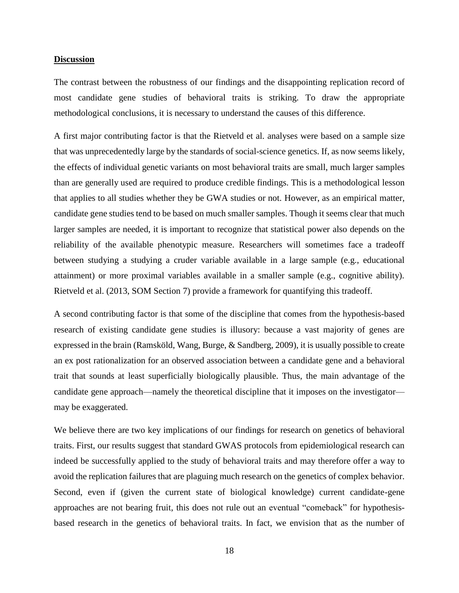## **Discussion**

The contrast between the robustness of our findings and the disappointing replication record of most candidate gene studies of behavioral traits is striking. To draw the appropriate methodological conclusions, it is necessary to understand the causes of this difference.

A first major contributing factor is that the Rietveld et al. analyses were based on a sample size that was unprecedentedly large by the standards of social-science genetics. If, as now seems likely, the effects of individual genetic variants on most behavioral traits are small, much larger samples than are generally used are required to produce credible findings. This is a methodological lesson that applies to all studies whether they be GWA studies or not. However, as an empirical matter, candidate gene studies tend to be based on much smaller samples. Though it seems clear that much larger samples are needed, it is important to recognize that statistical power also depends on the reliability of the available phenotypic measure. Researchers will sometimes face a tradeoff between studying a studying a cruder variable available in a large sample (e.g., educational attainment) or more proximal variables available in a smaller sample (e.g., cognitive ability). Rietveld et al. (2013, SOM Section 7) provide a framework for quantifying this tradeoff.

A second contributing factor is that some of the discipline that comes from the hypothesis-based research of existing candidate gene studies is illusory: because a vast majority of genes are expressed in the brain (Ramsköld, Wang, Burge, & Sandberg, 2009), it is usually possible to create an ex post rationalization for an observed association between a candidate gene and a behavioral trait that sounds at least superficially biologically plausible. Thus, the main advantage of the candidate gene approach—namely the theoretical discipline that it imposes on the investigator may be exaggerated.

We believe there are two key implications of our findings for research on genetics of behavioral traits. First, our results suggest that standard GWAS protocols from epidemiological research can indeed be successfully applied to the study of behavioral traits and may therefore offer a way to avoid the replication failures that are plaguing much research on the genetics of complex behavior. Second, even if (given the current state of biological knowledge) current candidate-gene approaches are not bearing fruit, this does not rule out an eventual "comeback" for hypothesisbased research in the genetics of behavioral traits. In fact, we envision that as the number of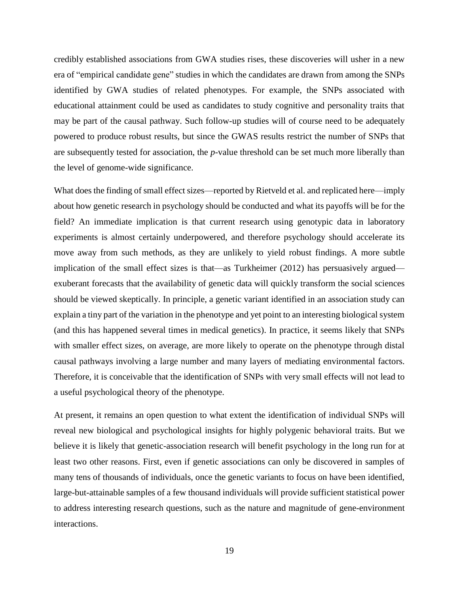credibly established associations from GWA studies rises, these discoveries will usher in a new era of "empirical candidate gene" studies in which the candidates are drawn from among the SNPs identified by GWA studies of related phenotypes. For example, the SNPs associated with educational attainment could be used as candidates to study cognitive and personality traits that may be part of the causal pathway. Such follow-up studies will of course need to be adequately powered to produce robust results, but since the GWAS results restrict the number of SNPs that are subsequently tested for association, the *p*-value threshold can be set much more liberally than the level of genome-wide significance.

What does the finding of small effect sizes—reported by Rietveld et al. and replicated here—imply about how genetic research in psychology should be conducted and what its payoffs will be for the field? An immediate implication is that current research using genotypic data in laboratory experiments is almost certainly underpowered, and therefore psychology should accelerate its move away from such methods, as they are unlikely to yield robust findings. A more subtle implication of the small effect sizes is that—as Turkheimer (2012) has persuasively argued exuberant forecasts that the availability of genetic data will quickly transform the social sciences should be viewed skeptically. In principle, a genetic variant identified in an association study can explain a tiny part of the variation in the phenotype and yet point to an interesting biological system (and this has happened several times in medical genetics). In practice, it seems likely that SNPs with smaller effect sizes, on average, are more likely to operate on the phenotype through distal causal pathways involving a large number and many layers of mediating environmental factors. Therefore, it is conceivable that the identification of SNPs with very small effects will not lead to a useful psychological theory of the phenotype.

At present, it remains an open question to what extent the identification of individual SNPs will reveal new biological and psychological insights for highly polygenic behavioral traits. But we believe it is likely that genetic-association research will benefit psychology in the long run for at least two other reasons. First, even if genetic associations can only be discovered in samples of many tens of thousands of individuals, once the genetic variants to focus on have been identified, large-but-attainable samples of a few thousand individuals will provide sufficient statistical power to address interesting research questions, such as the nature and magnitude of gene-environment interactions.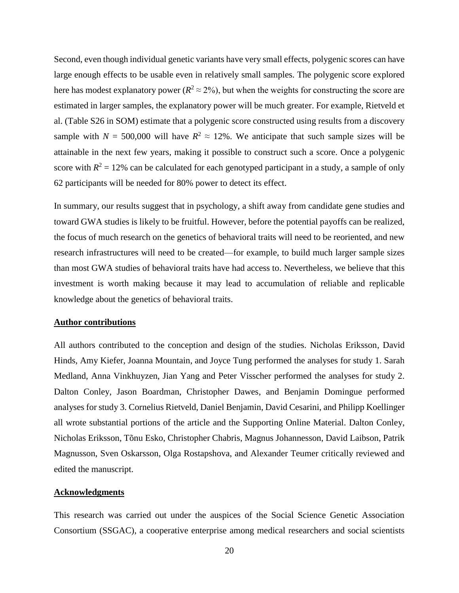Second, even though individual genetic variants have very small effects, polygenic scores can have large enough effects to be usable even in relatively small samples. The polygenic score explored here has modest explanatory power ( $R^2 \approx 2\%$ ), but when the weights for constructing the score are estimated in larger samples, the explanatory power will be much greater. For example, Rietveld et al. (Table S26 in SOM) estimate that a polygenic score constructed using results from a discovery sample with  $N = 500,000$  will have  $R^2 \approx 12\%$ . We anticipate that such sample sizes will be attainable in the next few years, making it possible to construct such a score. Once a polygenic score with  $R^2 = 12\%$  can be calculated for each genotyped participant in a study, a sample of only 62 participants will be needed for 80% power to detect its effect.

In summary, our results suggest that in psychology, a shift away from candidate gene studies and toward GWA studies is likely to be fruitful. However, before the potential payoffs can be realized, the focus of much research on the genetics of behavioral traits will need to be reoriented, and new research infrastructures will need to be created—for example, to build much larger sample sizes than most GWA studies of behavioral traits have had access to. Nevertheless, we believe that this investment is worth making because it may lead to accumulation of reliable and replicable knowledge about the genetics of behavioral traits.

# **Author contributions**

All authors contributed to the conception and design of the studies. Nicholas Eriksson, David Hinds, Amy Kiefer, Joanna Mountain, and Joyce Tung performed the analyses for study 1. Sarah Medland, Anna Vinkhuyzen, Jian Yang and Peter Visscher performed the analyses for study 2. Dalton Conley, Jason Boardman, Christopher Dawes, and Benjamin Domingue performed analyses for study 3. Cornelius Rietveld, Daniel Benjamin, David Cesarini, and Philipp Koellinger all wrote substantial portions of the article and the Supporting Online Material. Dalton Conley, Nicholas Eriksson, Tõnu Esko, Christopher Chabris, Magnus Johannesson, David Laibson, Patrik Magnusson, Sven Oskarsson, Olga Rostapshova, and Alexander Teumer critically reviewed and edited the manuscript.

# **Acknowledgments**

This research was carried out under the auspices of the Social Science Genetic Association Consortium (SSGAC), a cooperative enterprise among medical researchers and social scientists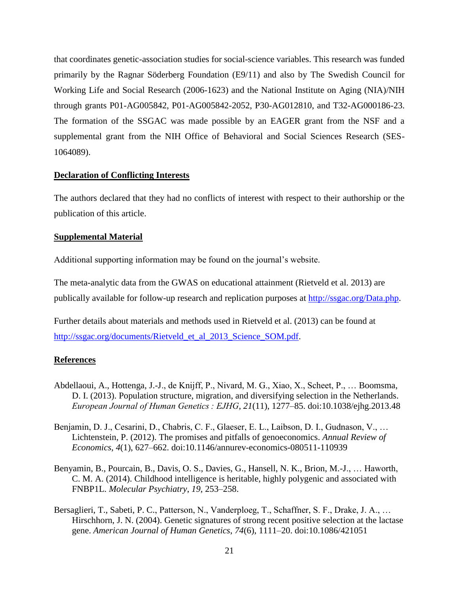that coordinates genetic-association studies for social-science variables. This research was funded primarily by the Ragnar Söderberg Foundation (E9/11) and also by The Swedish Council for Working Life and Social Research (2006-1623) and the National Institute on Aging (NIA)/NIH through grants P01-AG005842, P01-AG005842-2052, P30-AG012810, and T32-AG000186-23. The formation of the SSGAC was made possible by an EAGER grant from the NSF and a supplemental grant from the NIH Office of Behavioral and Social Sciences Research (SES-1064089).

## **Declaration of Conflicting Interests**

The authors declared that they had no conflicts of interest with respect to their authorship or the publication of this article.

## **Supplemental Material**

Additional supporting information may be found on the journal's website.

The meta-analytic data from the GWAS on educational attainment (Rietveld et al. 2013) are publically available for follow-up research and replication purposes at [http://ssgac.org/Data.php.](http://ssgac.org/Data.php)

Further details about materials and methods used in Rietveld et al. (2013) can be found at [http://ssgac.org/documents/Rietveld\\_et\\_al\\_2013\\_Science\\_SOM.pdf.](http://ssgac.org/documents/Rietveld_et_al_2013_Science_SOM.pdf)

## **References**

- Abdellaoui, A., Hottenga, J.-J., de Knijff, P., Nivard, M. G., Xiao, X., Scheet, P., … Boomsma, D. I. (2013). Population structure, migration, and diversifying selection in the Netherlands. *European Journal of Human Genetics : EJHG*, *21*(11), 1277–85. doi:10.1038/ejhg.2013.48
- Benjamin, D. J., Cesarini, D., Chabris, C. F., Glaeser, E. L., Laibson, D. I., Gudnason, V., … Lichtenstein, P. (2012). The promises and pitfalls of genoeconomics. *Annual Review of Economics*, *4*(1), 627–662. doi:10.1146/annurev-economics-080511-110939
- Benyamin, B., Pourcain, B., Davis, O. S., Davies, G., Hansell, N. K., Brion, M.-J., … Haworth, C. M. A. (2014). Childhood intelligence is heritable, highly polygenic and associated with FNBP1L. *Molecular Psychiatry*, *19*, 253–258.
- Bersaglieri, T., Sabeti, P. C., Patterson, N., Vanderploeg, T., Schaffner, S. F., Drake, J. A., … Hirschhorn, J. N. (2004). Genetic signatures of strong recent positive selection at the lactase gene. *American Journal of Human Genetics*, *74*(6), 1111–20. doi:10.1086/421051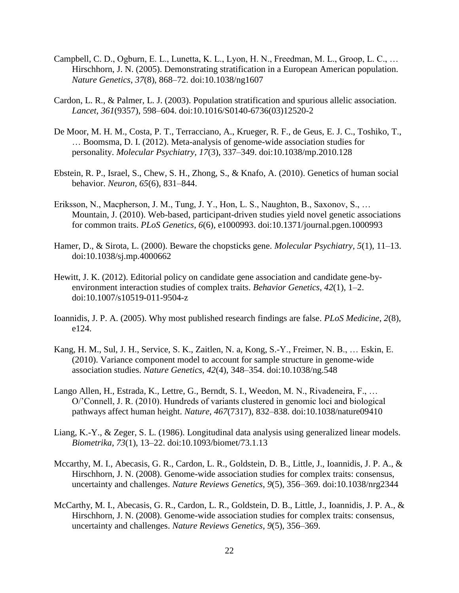- Campbell, C. D., Ogburn, E. L., Lunetta, K. L., Lyon, H. N., Freedman, M. L., Groop, L. C., … Hirschhorn, J. N. (2005). Demonstrating stratification in a European American population. *Nature Genetics*, *37*(8), 868–72. doi:10.1038/ng1607
- Cardon, L. R., & Palmer, L. J. (2003). Population stratification and spurious allelic association. *Lancet*, *361*(9357), 598–604. doi:10.1016/S0140-6736(03)12520-2
- De Moor, M. H. M., Costa, P. T., Terracciano, A., Krueger, R. F., de Geus, E. J. C., Toshiko, T., … Boomsma, D. I. (2012). Meta-analysis of genome-wide association studies for personality. *Molecular Psychiatry*, *17*(3), 337–349. doi:10.1038/mp.2010.128
- Ebstein, R. P., Israel, S., Chew, S. H., Zhong, S., & Knafo, A. (2010). Genetics of human social behavior. *Neuron*, *65*(6), 831–844.
- Eriksson, N., Macpherson, J. M., Tung, J. Y., Hon, L. S., Naughton, B., Saxonov, S., … Mountain, J. (2010). Web-based, participant-driven studies yield novel genetic associations for common traits. *PLoS Genetics*, *6*(6), e1000993. doi:10.1371/journal.pgen.1000993
- Hamer, D., & Sirota, L. (2000). Beware the chopsticks gene. *Molecular Psychiatry*, *5*(1), 11–13. doi:10.1038/sj.mp.4000662
- Hewitt, J. K. (2012). Editorial policy on candidate gene association and candidate gene-byenvironment interaction studies of complex traits. *Behavior Genetics*, *42*(1), 1–2. doi:10.1007/s10519-011-9504-z
- Ioannidis, J. P. A. (2005). Why most published research findings are false. *PLoS Medicine*, *2*(8), e124.
- Kang, H. M., Sul, J. H., Service, S. K., Zaitlen, N. a, Kong, S.-Y., Freimer, N. B., … Eskin, E. (2010). Variance component model to account for sample structure in genome-wide association studies. *Nature Genetics*, *42*(4), 348–354. doi:10.1038/ng.548
- Lango Allen, H., Estrada, K., Lettre, G., Berndt, S. I., Weedon, M. N., Rivadeneira, F., … O/'Connell, J. R. (2010). Hundreds of variants clustered in genomic loci and biological pathways affect human height. *Nature*, *467*(7317), 832–838. doi:10.1038/nature09410
- Liang, K.-Y., & Zeger, S. L. (1986). Longitudinal data analysis using generalized linear models. *Biometrika*, *73*(1), 13–22. doi:10.1093/biomet/73.1.13
- Mccarthy, M. I., Abecasis, G. R., Cardon, L. R., Goldstein, D. B., Little, J., Ioannidis, J. P. A., & Hirschhorn, J. N. (2008). Genome-wide association studies for complex traits: consensus, uncertainty and challenges. *Nature Reviews Genetics*, *9*(5), 356–369. doi:10.1038/nrg2344
- McCarthy, M. I., Abecasis, G. R., Cardon, L. R., Goldstein, D. B., Little, J., Ioannidis, J. P. A., & Hirschhorn, J. N. (2008). Genome-wide association studies for complex traits: consensus, uncertainty and challenges. *Nature Reviews Genetics*, *9*(5), 356–369.